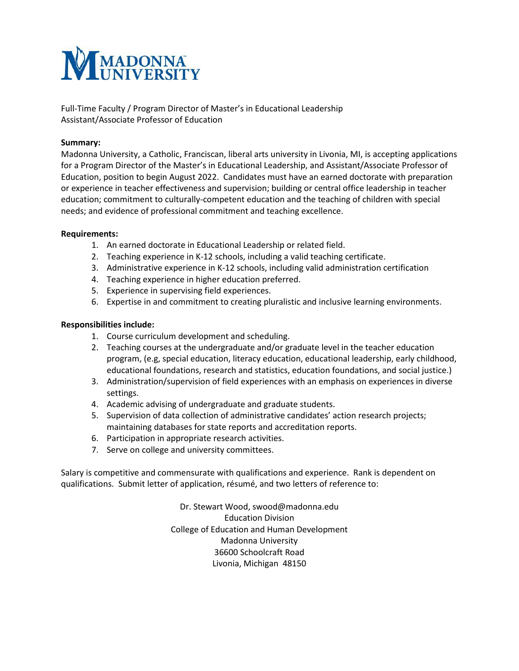

Full-Time Faculty / Program Director of Master's in Educational Leadership Assistant/Associate Professor of Education

## **Summary:**

Madonna University, a Catholic, Franciscan, liberal arts university in Livonia, MI, is accepting applications for a Program Director of the Master's in Educational Leadership, and Assistant/Associate Professor of Education, position to begin August 2022. Candidates must have an earned doctorate with preparation or experience in teacher effectiveness and supervision; building or central office leadership in teacher education; commitment to culturally-competent education and the teaching of children with special needs; and evidence of professional commitment and teaching excellence.

## **Requirements:**

- 1. An earned doctorate in Educational Leadership or related field.
- 2. Teaching experience in K-12 schools, including a valid teaching certificate.
- 3. Administrative experience in K-12 schools, including valid administration certification
- 4. Teaching experience in higher education preferred.
- 5. Experience in supervising field experiences.
- 6. Expertise in and commitment to creating pluralistic and inclusive learning environments.

## **Responsibilities include:**

- 1. Course curriculum development and scheduling.
- 2. Teaching courses at the undergraduate and/or graduate level in the teacher education program, (e.g, special education, literacy education, educational leadership, early childhood, educational foundations, research and statistics, education foundations, and social justice.)
- 3. Administration/supervision of field experiences with an emphasis on experiences in diverse settings.
- 4. Academic advising of undergraduate and graduate students.
- 5. Supervision of data collection of administrative candidates' action research projects; maintaining databases for state reports and accreditation reports.
- 6. Participation in appropriate research activities.
- 7. Serve on college and university committees.

Salary is competitive and commensurate with qualifications and experience. Rank is dependent on qualifications. Submit letter of application, résumé, and two letters of reference to:

> Dr. Stewart Wood, swood@madonna.edu Education Division College of Education and Human Development Madonna University 36600 Schoolcraft Road Livonia, Michigan 48150